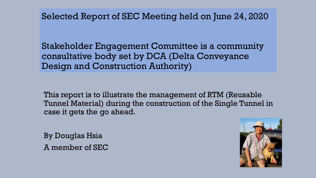Selected Report of SEC Meeting held on June 24, 2020

Stakeholder Engagement Committee is a community consultative body set by DCA (Delta Conveyance Design and Construction Authority)

This report is to illustrate the management of RTM (Reusable Tunnel Material) during the construction of the Single Tunnel in case it gets the go ahead.

By Douglas Hsia A member of SEC

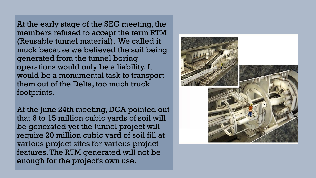At the early stage of the SEC meeting, the members refused to accept the term RTM (Reusable tunnel material). We called it muck because we believed the soil being generated from the tunnel boring operations would only be a liability. It would be a monumental task to transport them out of the Delta, too much truck footprints.

At the June 24th meeting, DCA pointed out that 6 to 15 million cubic yards of soil will be generated yet the tunnel project will require 20 million cubic yard of soil fill at various project sites for various project features. The RTM generated will not be enough for the project's own use.